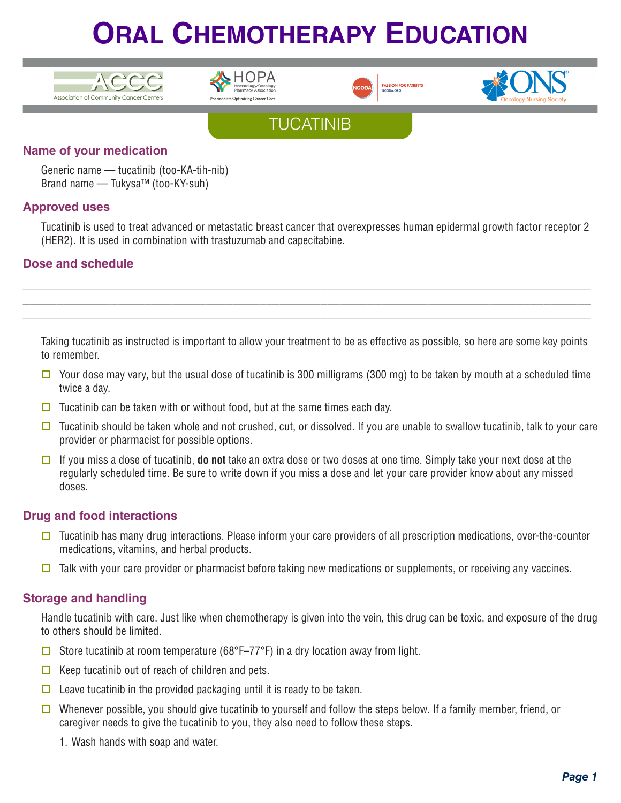









### **Name of your medication**

Generic name — tucatinib (too-KA-tih-nib) Brand name — Tukysa™ (too-KY-suh)

### **Approved uses**

Tucatinib is used to treat advanced or metastatic breast cancer that overexpresses human epidermal growth factor receptor 2 (HER2). It is used in combination with trastuzumab and capecitabine.

**\_\_\_\_\_\_\_\_\_\_\_\_\_\_\_\_\_\_\_\_\_\_\_\_\_\_\_\_\_\_\_\_\_\_\_\_\_\_\_\_\_\_\_\_\_\_\_\_\_\_\_\_\_\_\_\_\_\_\_\_\_\_\_\_\_\_\_\_\_\_\_\_\_\_\_\_\_\_\_\_\_\_\_\_ \_\_\_\_\_\_\_\_\_\_\_\_\_\_\_\_\_\_\_\_\_\_\_\_\_\_\_\_\_\_\_\_\_\_\_\_\_\_\_\_\_\_\_\_\_\_\_\_\_\_\_\_\_\_\_\_\_\_\_\_\_\_\_\_\_\_\_\_\_\_\_\_\_\_\_\_\_\_\_\_\_\_\_\_ \_\_\_\_\_\_\_\_\_\_\_\_\_\_\_\_\_\_\_\_\_\_\_\_\_\_\_\_\_\_\_\_\_\_\_\_\_\_\_\_\_\_\_\_\_\_\_\_\_\_\_\_\_\_\_\_\_\_\_\_\_\_\_\_\_\_\_\_\_\_\_\_\_\_\_\_\_\_\_\_\_\_\_\_**

## **Dose and schedule**

Taking tucatinib as instructed is important to allow your treatment to be as effective as possible, so here are some key points to remember.

- $\Box$  Your dose may vary, but the usual dose of tucatinib is 300 milligrams (300 mg) to be taken by mouth at a scheduled time twice a day.
- $\Box$  Tucatinib can be taken with or without food, but at the same times each day.
- $\Box$  Tucatinib should be taken whole and not crushed, cut, or dissolved. If you are unable to swallow tucatinib, talk to your care provider or pharmacist for possible options.
- $\Box$  If you miss a dose of tucatinib, **do not** take an extra dose or two doses at one time. Simply take your next dose at the regularly scheduled time. Be sure to write down if you miss a dose and let your care provider know about any missed doses.

## **Drug and food interactions**

- $\Box$  Tucatinib has many drug interactions. Please inform your care providers of all prescription medications, over-the-counter medications, vitamins, and herbal products.
- $\Box$  Talk with your care provider or pharmacist before taking new medications or supplements, or receiving any vaccines.

## **Storage and handling**

Handle tucatinib with care. Just like when chemotherapy is given into the vein, this drug can be toxic, and exposure of the drug to others should be limited.

- $\Box$  Store tucatinib at room temperature (68°F–77°F) in a dry location away from light.
- $\Box$  Keep tucatinib out of reach of children and pets.
- $\Box$  Leave tucatinib in the provided packaging until it is ready to be taken.
- Whenever possible, you should give tucatinib to yourself and follow the steps below. If a family member, friend, or caregiver needs to give the tucatinib to you, they also need to follow these steps.
	- 1. Wash hands with soap and water.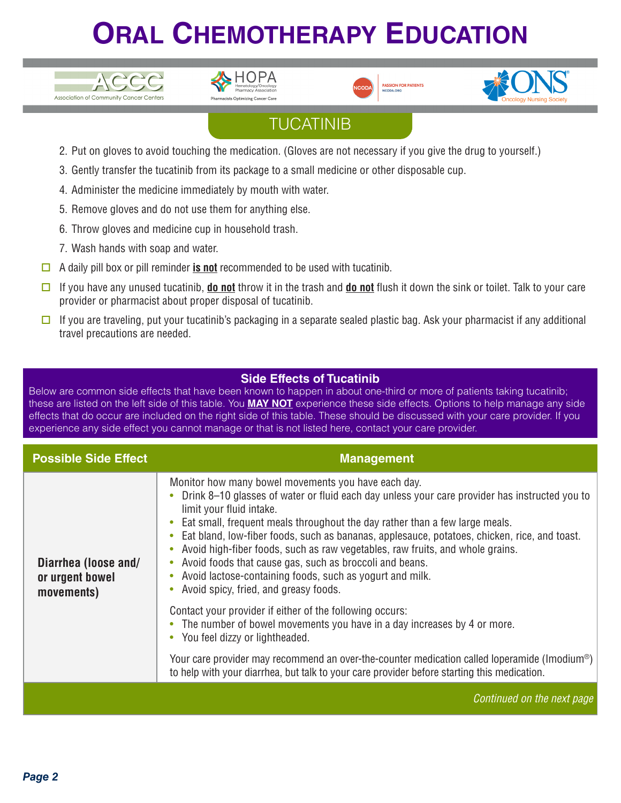







## **TUCATINIB**

- 2. Put on gloves to avoid touching the medication. (Gloves are not necessary if you give the drug to yourself.)
- 3. Gently transfer the tucatinib from its package to a small medicine or other disposable cup.
- 4. Administer the medicine immediately by mouth with water.
- 5. Remove gloves and do not use them for anything else.
- 6. Throw gloves and medicine cup in household trash.
- 7. Wash hands with soap and water.
- $\Box$  A daily pill box or pill reminder **is not** recommended to be used with tucatinib.
- □ If you have any unused tucatinib, **do not** throw it in the trash and **do not** flush it down the sink or toilet. Talk to your care provider or pharmacist about proper disposal of tucatinib.
- $\Box$  If you are traveling, put your tucatinib's packaging in a separate sealed plastic bag. Ask your pharmacist if any additional travel precautions are needed.

## **Side Effects of Tucatinib**

Below are common side effects that have been known to happen in about one-third or more of patients taking tucatinib; these are listed on the left side of this table. You **MAY NOT** experience these side effects. Options to help manage any side effects that do occur are included on the right side of this table. These should be discussed with your care provider. If you experience any side effect you cannot manage or that is not listed here, contact your care provider.

| <b>Possible Side Effect</b>                           | <b>Management</b>                                                                                                                                                                                                                                                                                                                                                                                                                                                                                                                                                                                                  |
|-------------------------------------------------------|--------------------------------------------------------------------------------------------------------------------------------------------------------------------------------------------------------------------------------------------------------------------------------------------------------------------------------------------------------------------------------------------------------------------------------------------------------------------------------------------------------------------------------------------------------------------------------------------------------------------|
| Diarrhea (loose and/<br>or urgent bowel<br>movements) | Monitor how many bowel movements you have each day.<br>Drink 8-10 glasses of water or fluid each day unless your care provider has instructed you to<br>limit your fluid intake.<br>• Eat small, frequent meals throughout the day rather than a few large meals.<br>Eat bland, low-fiber foods, such as bananas, applesauce, potatoes, chicken, rice, and toast.<br>Avoid high-fiber foods, such as raw vegetables, raw fruits, and whole grains.<br>Avoid foods that cause gas, such as broccoli and beans.<br>Avoid lactose-containing foods, such as yogurt and milk.<br>Avoid spicy, fried, and greasy foods. |
|                                                       | Contact your provider if either of the following occurs:<br>• The number of bowel movements you have in a day increases by 4 or more.<br>You feel dizzy or lightheaded.                                                                                                                                                                                                                                                                                                                                                                                                                                            |
|                                                       | Your care provider may recommend an over-the-counter medication called loperamide (Imodium <sup>®</sup> )<br>to help with your diarrhea, but talk to your care provider before starting this medication.                                                                                                                                                                                                                                                                                                                                                                                                           |
|                                                       | Continued on the next page                                                                                                                                                                                                                                                                                                                                                                                                                                                                                                                                                                                         |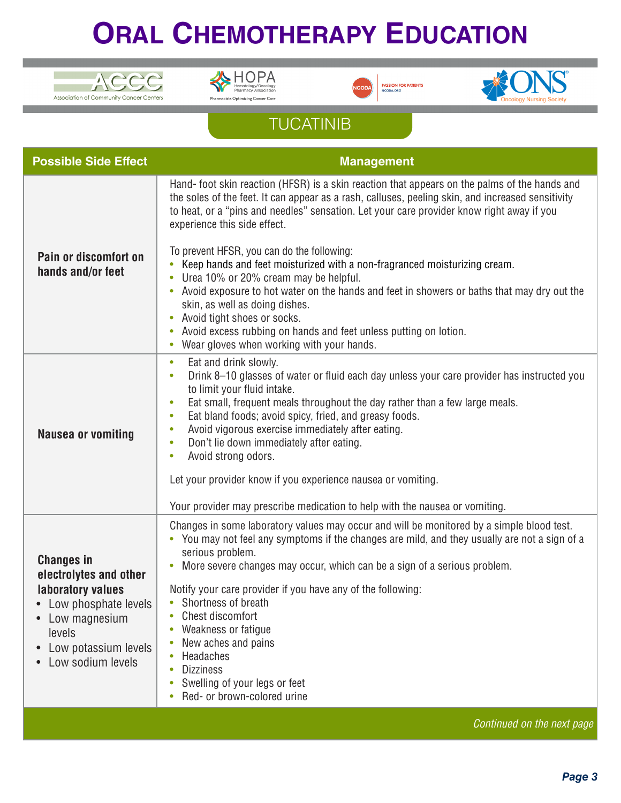







## **TUCATINIB**

| <b>Possible Side Effect</b>                                                                                                                                          | <b>Management</b>                                                                                                                                                                                                                                                                                                                                                                                                                                                                                                                                                                                                                                                                                                                                                                                                              |
|----------------------------------------------------------------------------------------------------------------------------------------------------------------------|--------------------------------------------------------------------------------------------------------------------------------------------------------------------------------------------------------------------------------------------------------------------------------------------------------------------------------------------------------------------------------------------------------------------------------------------------------------------------------------------------------------------------------------------------------------------------------------------------------------------------------------------------------------------------------------------------------------------------------------------------------------------------------------------------------------------------------|
| Pain or discomfort on<br>hands and/or feet                                                                                                                           | Hand-foot skin reaction (HFSR) is a skin reaction that appears on the palms of the hands and<br>the soles of the feet. It can appear as a rash, calluses, peeling skin, and increased sensitivity<br>to heat, or a "pins and needles" sensation. Let your care provider know right away if you<br>experience this side effect.<br>To prevent HFSR, you can do the following:<br>Keep hands and feet moisturized with a non-fragranced moisturizing cream.<br>Urea 10% or 20% cream may be helpful.<br>Avoid exposure to hot water on the hands and feet in showers or baths that may dry out the<br>۰<br>skin, as well as doing dishes.<br>Avoid tight shoes or socks.<br>$\bullet$<br>Avoid excess rubbing on hands and feet unless putting on lotion.<br>$\bullet$<br>Wear gloves when working with your hands.<br>$\bullet$ |
| <b>Nausea or vomiting</b>                                                                                                                                            | Eat and drink slowly.<br>$\bullet$<br>Drink 8-10 glasses of water or fluid each day unless your care provider has instructed you<br>$\bullet$<br>to limit your fluid intake.<br>Eat small, frequent meals throughout the day rather than a few large meals.<br>$\bullet$<br>Eat bland foods; avoid spicy, fried, and greasy foods.<br>$\bullet$<br>Avoid vigorous exercise immediately after eating.<br>۰<br>Don't lie down immediately after eating.<br>$\bullet$<br>Avoid strong odors.<br>۰<br>Let your provider know if you experience nausea or vomiting.<br>Your provider may prescribe medication to help with the nausea or vomiting.                                                                                                                                                                                  |
| <b>Changes in</b><br>electrolytes and other<br>laboratory values<br>• Low phosphate levels  <br>Low magnesium<br>levels<br>Low potassium levels<br>Low sodium levels | Changes in some laboratory values may occur and will be monitored by a simple blood test.<br>You may not feel any symptoms if the changes are mild, and they usually are not a sign of a<br>serious problem.<br>More severe changes may occur, which can be a sign of a serious problem.<br>$\bullet$<br>Notify your care provider if you have any of the following:<br>• Shortness of breath<br>Chest discomfort<br>$\bullet$<br>Weakness or fatigue<br>New aches and pains<br>Headaches<br>$\bullet$<br><b>Dizziness</b><br>$\bullet$<br>Swelling of your legs or feet<br>$\bullet$<br>Red- or brown-colored urine<br>۰                                                                                                                                                                                                      |
|                                                                                                                                                                      | Continued on the next page                                                                                                                                                                                                                                                                                                                                                                                                                                                                                                                                                                                                                                                                                                                                                                                                     |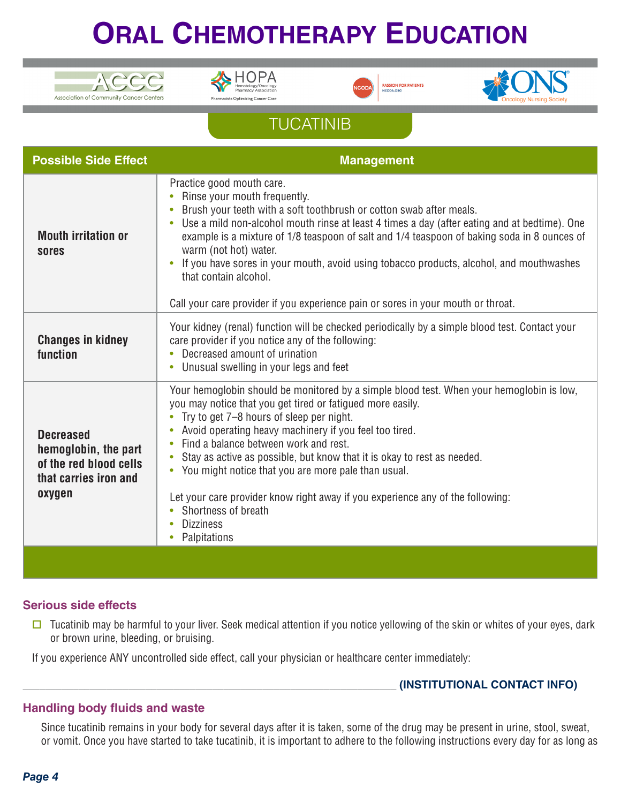







## **TUCATINIB**

| <b>Possible Side Effect</b>                                                                           | <b>Management</b>                                                                                                                                                                                                                                                                                                                                                                                                                                                                                                                                                                                                                                          |
|-------------------------------------------------------------------------------------------------------|------------------------------------------------------------------------------------------------------------------------------------------------------------------------------------------------------------------------------------------------------------------------------------------------------------------------------------------------------------------------------------------------------------------------------------------------------------------------------------------------------------------------------------------------------------------------------------------------------------------------------------------------------------|
| <b>Mouth irritation or</b><br>sores                                                                   | Practice good mouth care.<br>Rinse your mouth frequently.<br>$\bullet$<br>Brush your teeth with a soft toothbrush or cotton swab after meals.<br>Use a mild non-alcohol mouth rinse at least 4 times a day (after eating and at bedtime). One<br>example is a mixture of 1/8 teaspoon of salt and 1/4 teaspoon of baking soda in 8 ounces of<br>warm (not hot) water.<br>If you have sores in your mouth, avoid using tobacco products, alcohol, and mouthwashes<br>$\bullet$<br>that contain alcohol.<br>Call your care provider if you experience pain or sores in your mouth or throat.                                                                 |
| <b>Changes in kidney</b><br>function                                                                  | Your kidney (renal) function will be checked periodically by a simple blood test. Contact your<br>care provider if you notice any of the following:<br>Decreased amount of urination<br>$\bullet$<br>Unusual swelling in your legs and feet<br>۰                                                                                                                                                                                                                                                                                                                                                                                                           |
| <b>Decreased</b><br>hemoglobin, the part<br>of the red blood cells<br>that carries iron and<br>oxygen | Your hemoglobin should be monitored by a simple blood test. When your hemoglobin is low,<br>you may notice that you get tired or fatigued more easily.<br>Try to get 7-8 hours of sleep per night.<br>Avoid operating heavy machinery if you feel too tired.<br>$\bullet$<br>Find a balance between work and rest.<br>$\bullet$<br>Stay as active as possible, but know that it is okay to rest as needed.<br>۰<br>You might notice that you are more pale than usual.<br>$\bullet$<br>Let your care provider know right away if you experience any of the following:<br>Shortness of breath<br>$\bullet$<br><b>Dizziness</b><br>$\bullet$<br>Palpitations |

## **Serious side effects**

 $\square$  Tucatinib may be harmful to your liver. Seek medical attention if you notice yellowing of the skin or whites of your eyes, dark or brown urine, bleeding, or bruising.

If you experience ANY uncontrolled side effect, call your physician or healthcare center immediately:

\_\_\_\_\_\_\_\_\_\_\_\_\_\_\_\_\_\_\_\_\_\_\_\_\_\_\_\_\_\_\_\_\_\_\_\_\_\_\_\_\_\_\_\_\_\_\_\_\_\_\_\_\_\_\_\_\_\_\_\_\_\_\_\_\_\_\_ **(INSTITUTIONAL CONTACT INFO)**

### **Handling body fluids and waste**

Since tucatinib remains in your body for several days after it is taken, some of the drug may be present in urine, stool, sweat, or vomit. Once you have started to take tucatinib, it is important to adhere to the following instructions every day for as long as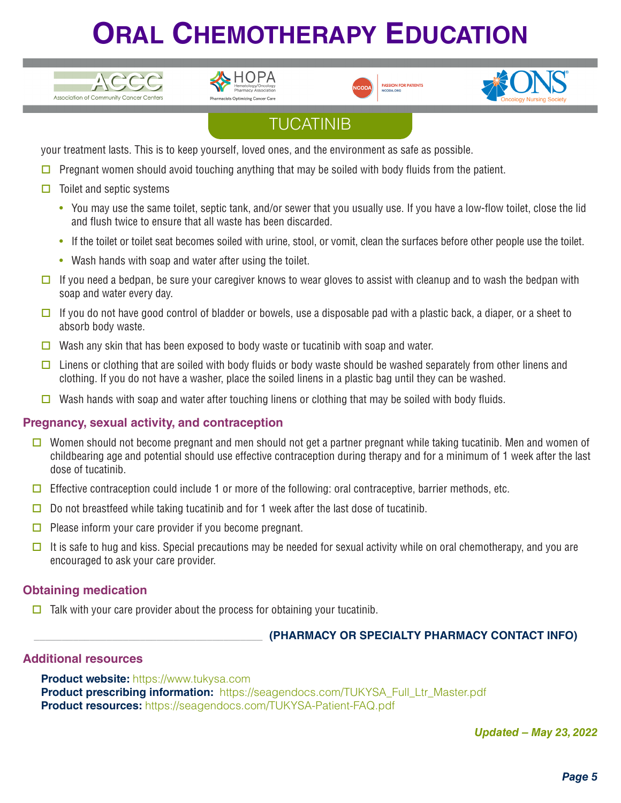







## **TUCATINIB**

your treatment lasts. This is to keep yourself, loved ones, and the environment as safe as possible.

- $\Box$  Pregnant women should avoid touching anything that may be soiled with body fluids from the patient.
- $\Box$  Toilet and septic systems
	- You may use the same toilet, septic tank, and/or sewer that you usually use. If you have a low-flow toilet, close the lid and flush twice to ensure that all waste has been discarded.
	- If the toilet or toilet seat becomes soiled with urine, stool, or vomit, clean the surfaces before other people use the toilet.
	- Wash hands with soap and water after using the toilet.
- $\Box$  If you need a bedpan, be sure your caregiver knows to wear gloves to assist with cleanup and to wash the bedpan with soap and water every day.
- $\Box$  If you do not have good control of bladder or bowels, use a disposable pad with a plastic back, a diaper, or a sheet to absorb body waste.
- $\Box$  Wash any skin that has been exposed to body waste or tucatinib with soap and water.
- $\Box$  Linens or clothing that are soiled with body fluids or body waste should be washed separately from other linens and clothing. If you do not have a washer, place the soiled linens in a plastic bag until they can be washed.
- Wash hands with soap and water after touching linens or clothing that may be soiled with body fluids.

### **Pregnancy, sexual activity, and contraception**

- Women should not become pregnant and men should not get a partner pregnant while taking tucatinib. Men and women of childbearing age and potential should use effective contraception during therapy and for a minimum of 1 week after the last dose of tucatinib.
- $\Box$  Effective contraception could include 1 or more of the following: oral contraceptive, barrier methods, etc.
- $\Box$  Do not breastfeed while taking tucatinib and for 1 week after the last dose of tucatinib.
- $\Box$  Please inform your care provider if you become pregnant.
- It is safe to hug and kiss. Special precautions may be needed for sexual activity while on oral chemotherapy, and you are encouraged to ask your care provider.

### **Obtaining medication**

 $\Box$  Talk with your care provider about the process for obtaining your tucatinib.

### \_\_\_\_\_\_\_\_\_\_\_\_\_\_\_\_\_\_\_\_\_\_\_\_\_\_\_\_\_\_\_\_\_\_\_\_\_\_\_\_\_ **(PHARMACY OR SPECIALTY PHARMACY CONTACT INFO)**

#### **Additional resources**

**Product website:** https://www.tukysa.com **Product prescribing information:** https://seagendocs.com/TUKYSA\_Full\_Ltr\_Master.pdf **Product resources:** https://seagendocs.com/TUKYSA-Patient-FAQ.pdf

*Updated – May 23, 2022*